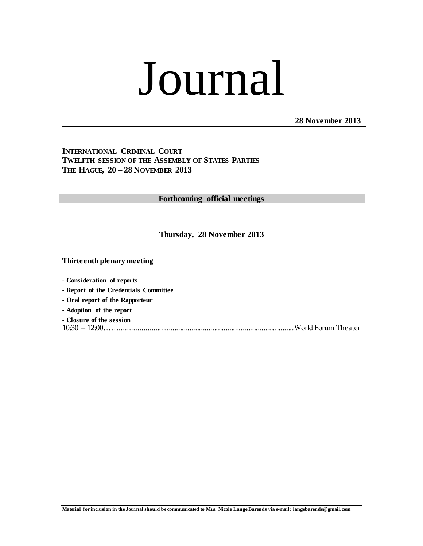# Journal

 **28 November 2013**

**INTERNATIONAL CRIMINAL COURT TWELFTH SESSION OF THE ASSEMBLY OF STATES PARTIES THE HAGUE, 20 – 28 NOVEMBER 2013**

**Forthcoming official meetings**

**Thursday, 28 November 2013**

**Thirteenth plenary meeting**

**- Consideration of reports - Report of the Credentials Committee - Oral report of the Rapporteur - Adoption of the report - Closure of the session** 10:30 – 12:00……...........................................................................................World Forum Theater